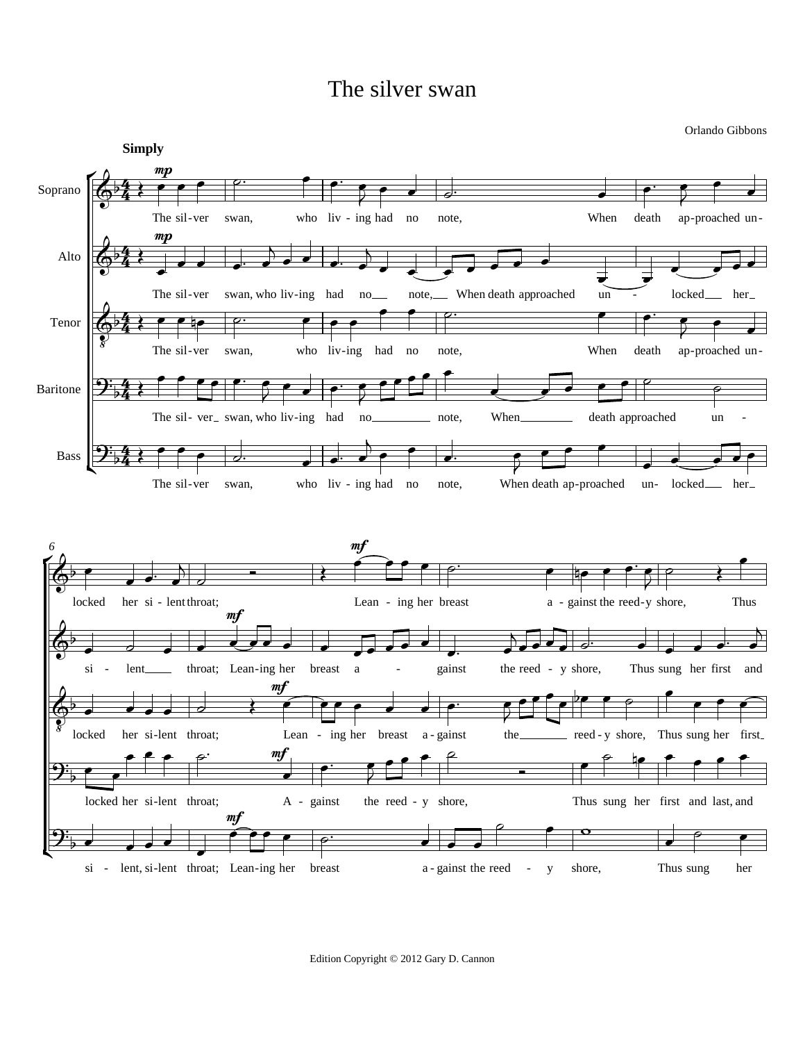## The silver swan